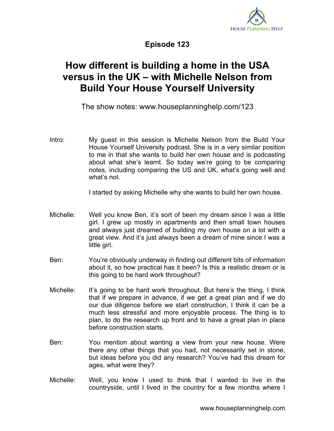

**Episode 123**

## **How different is building a home in the USA versus in the UK – with Michelle Nelson from Build Your House Yourself University**

The show notes: www.houseplanninghelp.com/123

Intro: My guest in this session is Michelle Nelson from the Build Your House Yourself University podcast. She is in a very similar position to me in that she wants to build her own house and is podcasting about what she's learnt. So today we're going to be comparing notes, including comparing the US and UK, what's going well and what's not.

I started by asking Michelle why she wants to build her own house.

- Michelle: Well you know Ben, it's sort of been my dream since I was a little girl. I grew up mostly in apartments and then small town houses and always just dreamed of building my own house on a lot with a great view. And it's just always been a dream of mine since I was a little girl.
- Ben: You're obviously underway in finding out different bits of information about it, so how practical has it been? Is this a realistic dream or is this going to be hard work throughout?
- Michelle: It's going to be hard work throughout. But here's the thing, I think that if we prepare in advance, if we get a great plan and if we do our due diligence before we start construction, I think it can be a much less stressful and more enjoyable process. The thing is to plan, to do the research up front and to have a great plan in place before construction starts.
- Ben: You mention about wanting a view from your new house. Were there any other things that you had, not necessarily set in stone, but ideas before you did any research? You've had this dream for ages, what were they?
- Michelle: Well, you know I used to think that I wanted to live in the countryside, until I lived in the country for a few months where I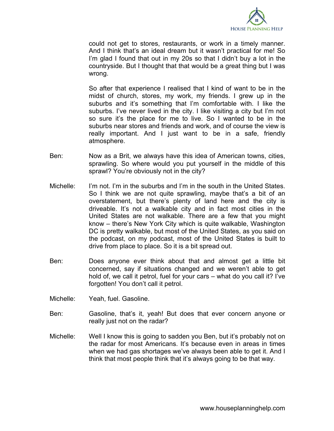

could not get to stores, restaurants, or work in a timely manner. And I think that's an ideal dream but it wasn't practical for me! So I'm glad I found that out in my 20s so that I didn't buy a lot in the countryside. But I thought that that would be a great thing but I was wrong.

So after that experience I realised that I kind of want to be in the midst of church, stores, my work, my friends. I grew up in the suburbs and it's something that I'm comfortable with. I like the suburbs. I've never lived in the city. I like visiting a city but I'm not so sure it's the place for me to live. So I wanted to be in the suburbs near stores and friends and work, and of course the view is really important. And I just want to be in a safe, friendly atmosphere.

- Ben: Now as a Brit, we always have this idea of American towns, cities, sprawling. So where would you put yourself in the middle of this sprawl? You're obviously not in the city?
- Michelle: I'm not. I'm in the suburbs and I'm in the south in the United States. So I think we are not quite sprawling, maybe that's a bit of an overstatement, but there's plenty of land here and the city is driveable. It's not a walkable city and in fact most cities in the United States are not walkable. There are a few that you might know – there's New York City which is quite walkable, Washington DC is pretty walkable, but most of the United States, as you said on the podcast, on my podcast, most of the United States is built to drive from place to place. So it is a bit spread out.
- Ben: Does anyone ever think about that and almost get a little bit concerned, say if situations changed and we weren't able to get hold of, we call it petrol, fuel for your cars – what do you call it? I've forgotten! You don't call it petrol.
- Michelle: Yeah, fuel. Gasoline.
- Ben: Gasoline, that's it, yeah! But does that ever concern anyone or really just not on the radar?
- Michelle: Well I know this is going to sadden you Ben, but it's probably not on the radar for most Americans. It's because even in areas in times when we had gas shortages we've always been able to get it. And I think that most people think that it's always going to be that way.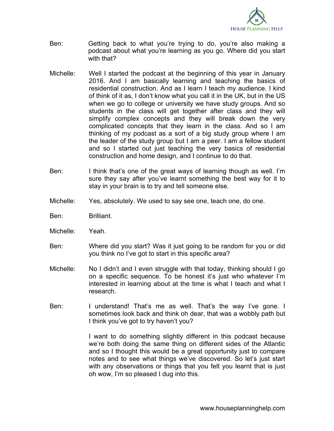

- Ben: Getting back to what you're trying to do, you're also making a podcast about what you're learning as you go. Where did you start with that?
- Michelle: Well I started the podcast at the beginning of this year in January 2016. And I am basically learning and teaching the basics of residential construction. And as I learn I teach my audience. I kind of think of it as, I don't know what you call it in the UK, but in the US when we go to college or university we have study groups. And so students in the class will get together after class and they will simplify complex concepts and they will break down the very complicated concepts that they learn in the class. And so I am thinking of my podcast as a sort of a big study group where I am the leader of the study group but I am a peer. I am a fellow student and so I started out just teaching the very basics of residential construction and home design, and I continue to do that.
- Ben: I think that's one of the great ways of learning though as well. I'm sure they say after you've learnt something the best way for it to stay in your brain is to try and tell someone else.
- Michelle: Yes, absolutely. We used to say see one, teach one, do one.
- Ben: Brilliant.
- Michelle: Yeah.
- Ben: Where did you start? Was it just going to be random for you or did you think no I've got to start in this specific area?
- Michelle: No I didn't and I even struggle with that today, thinking should I go on a specific sequence. To be honest it's just who whatever I'm interested in learning about at the time is what I teach and what I research.
- Ben: I understand! That's me as well. That's the way I've gone. I sometimes look back and think oh dear, that was a wobbly path but I think you've got to try haven't you?

I want to do something slightly different in this podcast because we're both doing the same thing on different sides of the Atlantic and so I thought this would be a great opportunity just to compare notes and to see what things we've discovered. So let's just start with any observations or things that you felt you learnt that is just oh wow, I'm so pleased I dug into this.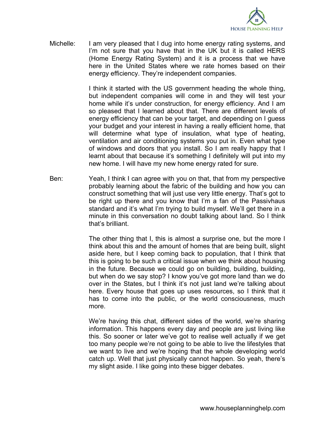

Michelle: I am very pleased that I dug into home energy rating systems, and I'm not sure that you have that in the UK but it is called HERS (Home Energy Rating System) and it is a process that we have here in the United States where we rate homes based on their energy efficiency. They're independent companies.

> I think it started with the US government heading the whole thing, but independent companies will come in and they will test your home while it's under construction, for energy efficiency. And I am so pleased that I learned about that. There are different levels of energy efficiency that can be your target, and depending on I guess your budget and your interest in having a really efficient home, that will determine what type of insulation, what type of heating, ventilation and air conditioning systems you put in. Even what type of windows and doors that you install. So I am really happy that I learnt about that because it's something I definitely will put into my new home. I will have my new home energy rated for sure.

Ben: Yeah, I think I can agree with you on that, that from my perspective probably learning about the fabric of the building and how you can construct something that will just use very little energy. That's got to be right up there and you know that I'm a fan of the Passivhaus standard and it's what I'm trying to build myself. We'll get there in a minute in this conversation no doubt talking about land. So I think that's brilliant.

> The other thing that I, this is almost a surprise one, but the more I think about this and the amount of homes that are being built, slight aside here, but I keep coming back to population, that I think that this is going to be such a critical issue when we think about housing in the future. Because we could go on building, building, building, but when do we say stop? I know you've got more land than we do over in the States, but I think it's not just land we're talking about here. Every house that goes up uses resources, so I think that it has to come into the public, or the world consciousness, much more.

> We're having this chat, different sides of the world, we're sharing information. This happens every day and people are just living like this. So sooner or later we've got to realise well actually if we get too many people we're not going to be able to live the lifestyles that we want to live and we're hoping that the whole developing world catch up. Well that just physically cannot happen. So yeah, there's my slight aside. I like going into these bigger debates.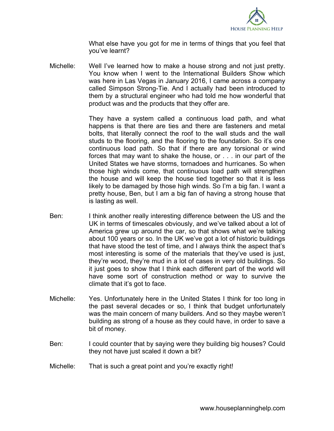

What else have you got for me in terms of things that you feel that you've learnt?

Michelle: Well I've learned how to make a house strong and not just pretty. You know when I went to the International Builders Show which was here in Las Vegas in January 2016, I came across a company called Simpson Strong-Tie. And I actually had been introduced to them by a structural engineer who had told me how wonderful that product was and the products that they offer are.

> They have a system called a continuous load path, and what happens is that there are ties and there are fasteners and metal bolts, that literally connect the roof to the wall studs and the wall studs to the flooring, and the flooring to the foundation. So it's one continuous load path. So that if there are any torsional or wind forces that may want to shake the house, or . . . in our part of the United States we have storms, tornadoes and hurricanes. So when those high winds come, that continuous load path will strengthen the house and will keep the house tied together so that it is less likely to be damaged by those high winds. So I'm a big fan. I want a pretty house, Ben, but I am a big fan of having a strong house that is lasting as well.

- Ben: I think another really interesting difference between the US and the UK in terms of timescales obviously, and we've talked about a lot of America grew up around the car, so that shows what we're talking about 100 years or so. In the UK we've got a lot of historic buildings that have stood the test of time, and I always think the aspect that's most interesting is some of the materials that they've used is just, they're wood, they're mud in a lot of cases in very old buildings. So it just goes to show that I think each different part of the world will have some sort of construction method or way to survive the climate that it's got to face.
- Michelle: Yes. Unfortunately here in the United States I think for too long in the past several decades or so, I think that budget unfortunately was the main concern of many builders. And so they maybe weren't building as strong of a house as they could have, in order to save a bit of money.
- Ben: I could counter that by saying were they building big houses? Could they not have just scaled it down a bit?
- Michelle: That is such a great point and you're exactly right!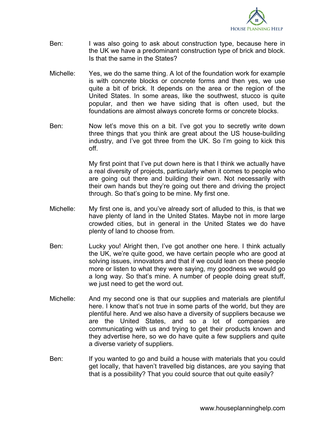

- Ben: I was also going to ask about construction type, because here in the UK we have a predominant construction type of brick and block. Is that the same in the States?
- Michelle: Yes, we do the same thing. A lot of the foundation work for example is with concrete blocks or concrete forms and then yes, we use quite a bit of brick. It depends on the area or the region of the United States. In some areas, like the southwest, stucco is quite popular, and then we have siding that is often used, but the foundations are almost always concrete forms or concrete blocks.
- Ben: Now let's move this on a bit. I've got you to secretly write down three things that you think are great about the US house-building industry, and I've got three from the UK. So I'm going to kick this off.

My first point that I've put down here is that I think we actually have a real diversity of projects, particularly when it comes to people who are going out there and building their own. Not necessarily with their own hands but they're going out there and driving the project through. So that's going to be mine. My first one.

- Michelle: My first one is, and you've already sort of alluded to this, is that we have plenty of land in the United States. Maybe not in more large crowded cities, but in general in the United States we do have plenty of land to choose from.
- Ben: Lucky you! Alright then, I've got another one here. I think actually the UK, we're quite good, we have certain people who are good at solving issues, innovators and that if we could lean on these people more or listen to what they were saying, my goodness we would go a long way. So that's mine. A number of people doing great stuff, we just need to get the word out.
- Michelle: And my second one is that our supplies and materials are plentiful here. I know that's not true in some parts of the world, but they are plentiful here. And we also have a diversity of suppliers because we are the United States, and so a lot of companies are communicating with us and trying to get their products known and they advertise here, so we do have quite a few suppliers and quite a diverse variety of suppliers.
- Ben: If you wanted to go and build a house with materials that you could get locally, that haven't travelled big distances, are you saying that that is a possibility? That you could source that out quite easily?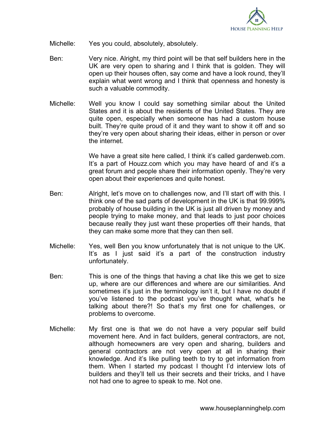

- Michelle: Yes you could, absolutely, absolutely.
- Ben: Very nice. Alright, my third point will be that self builders here in the UK are very open to sharing and I think that is golden. They will open up their houses often, say come and have a look round, they'll explain what went wrong and I think that openness and honesty is such a valuable commodity.
- Michelle: Well you know I could say something similar about the United States and it is about the residents of the United States. They are quite open, especially when someone has had a custom house built. They're quite proud of it and they want to show it off and so they're very open about sharing their ideas, either in person or over the internet.

We have a great site here called, I think it's called gardenweb.com. It's a part of Houzz.com which you may have heard of and it's a great forum and people share their information openly. They're very open about their experiences and quite honest.

- Ben: Alright, let's move on to challenges now, and I'll start off with this. I think one of the sad parts of development in the UK is that 99.999% probably of house building in the UK is just all driven by money and people trying to make money, and that leads to just poor choices because really they just want these properties off their hands, that they can make some more that they can then sell.
- Michelle: Yes, well Ben you know unfortunately that is not unique to the UK. It's as I just said it's a part of the construction industry unfortunately.
- Ben: This is one of the things that having a chat like this we get to size up, where are our differences and where are our similarities. And sometimes it's just in the terminology isn't it, but I have no doubt if you've listened to the podcast you've thought what, what's he talking about there?! So that's my first one for challenges, or problems to overcome.
- Michelle: My first one is that we do not have a very popular self build movement here. And in fact builders, general contractors, are not, although homeowners are very open and sharing, builders and general contractors are not very open at all in sharing their knowledge. And it's like pulling teeth to try to get information from them. When I started my podcast I thought I'd interview lots of builders and they'll tell us their secrets and their tricks, and I have not had one to agree to speak to me. Not one.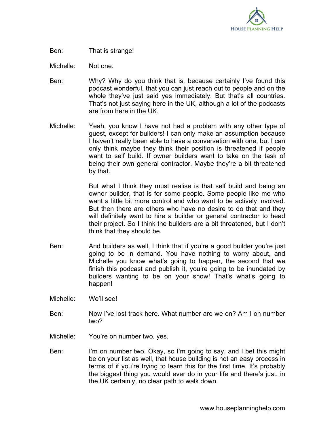

## Ben: That is strange!

Michelle: Not one.

- Ben: Why? Why do you think that is, because certainly I've found this podcast wonderful, that you can just reach out to people and on the whole they've just said yes immediately. But that's all countries. That's not just saying here in the UK, although a lot of the podcasts are from here in the UK.
- Michelle: Yeah, you know I have not had a problem with any other type of guest, except for builders! I can only make an assumption because I haven't really been able to have a conversation with one, but I can only think maybe they think their position is threatened if people want to self build. If owner builders want to take on the task of being their own general contractor. Maybe they're a bit threatened by that.

But what I think they must realise is that self build and being an owner builder, that is for some people. Some people like me who want a little bit more control and who want to be actively involved. But then there are others who have no desire to do that and they will definitely want to hire a builder or general contractor to head their project. So I think the builders are a bit threatened, but I don't think that they should be.

- Ben: And builders as well, I think that if you're a good builder you're just going to be in demand. You have nothing to worry about, and Michelle you know what's going to happen, the second that we finish this podcast and publish it, you're going to be inundated by builders wanting to be on your show! That's what's going to happen!
- Michelle: We'll see!
- Ben: Now I've lost track here. What number are we on? Am I on number two?
- Michelle: You're on number two, yes.
- Ben: I'm on number two. Okay, so I'm going to say, and I bet this might be on your list as well, that house building is not an easy process in terms of if you're trying to learn this for the first time. It's probably the biggest thing you would ever do in your life and there's just, in the UK certainly, no clear path to walk down.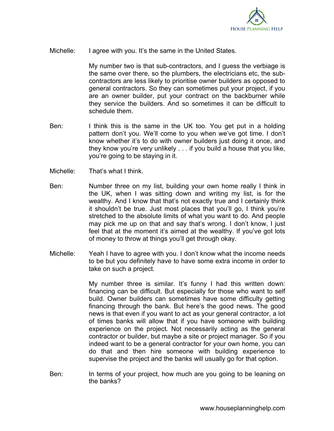

Michelle: I agree with you. It's the same in the United States.

My number two is that sub-contractors, and I guess the verbiage is the same over there, so the plumbers, the electricians etc, the subcontractors are less likely to prioritise owner builders as opposed to general contractors. So they can sometimes put your project, if you are an owner builder, put your contract on the backburner while they service the builders. And so sometimes it can be difficult to schedule them.

- Ben: I think this is the same in the UK too. You get put in a holding pattern don't you. We'll come to you when we've got time. I don't know whether it's to do with owner builders just doing it once, and they know you're very unlikely . . . if you build a house that you like, you're going to be staying in it.
- Michelle: That's what I think.
- Ben: Number three on my list, building your own home really I think in the UK, when I was sitting down and writing my list, is for the wealthy. And I know that that's not exactly true and I certainly think it shouldn't be true. Just most places that you'll go, I think you're stretched to the absolute limits of what you want to do. And people may pick me up on that and say that's wrong. I don't know, I just feel that at the moment it's aimed at the wealthy. If you've got lots of money to throw at things you'll get through okay.
- Michelle: Yeah I have to agree with you. I don't know what the income needs to be but you definitely have to have some extra income in order to take on such a project.

My number three is similar. It's funny I had this written down: financing can be difficult. But especially for those who want to self build. Owner builders can sometimes have some difficulty getting financing through the bank. But here's the good news. The good news is that even if you want to act as your general contractor, a lot of times banks will allow that if you have someone with building experience on the project. Not necessarily acting as the general contractor or builder, but maybe a site or project manager. So if you indeed want to be a general contractor for your own home, you can do that and then hire someone with building experience to supervise the project and the banks will usually go for that option.

Ben: In terms of your project, how much are you going to be leaning on the banks?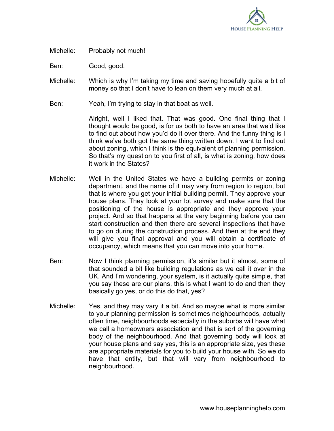

Michelle: Probably not much!

Ben: Good, good.

- Michelle: Which is why I'm taking my time and saving hopefully quite a bit of money so that I don't have to lean on them very much at all.
- Ben: Yeah, I'm trying to stay in that boat as well.

Alright, well I liked that. That was good. One final thing that I thought would be good, is for us both to have an area that we'd like to find out about how you'd do it over there. And the funny thing is I think we've both got the same thing written down. I want to find out about zoning, which I think is the equivalent of planning permission. So that's my question to you first of all, is what is zoning, how does it work in the States?

- Michelle: Well in the United States we have a building permits or zoning department, and the name of it may vary from region to region, but that is where you get your initial building permit. They approve your house plans. They look at your lot survey and make sure that the positioning of the house is appropriate and they approve your project. And so that happens at the very beginning before you can start construction and then there are several inspections that have to go on during the construction process. And then at the end they will give you final approval and you will obtain a certificate of occupancy, which means that you can move into your home.
- Ben: Now I think planning permission, it's similar but it almost, some of that sounded a bit like building regulations as we call it over in the UK. And I'm wondering, your system, is it actually quite simple, that you say these are our plans, this is what I want to do and then they basically go yes, or do this do that, yes?
- Michelle: Yes, and they may vary it a bit. And so maybe what is more similar to your planning permission is sometimes neighbourhoods, actually often time, neighbourhoods especially in the suburbs will have what we call a homeowners association and that is sort of the governing body of the neighbourhood. And that governing body will look at your house plans and say yes, this is an appropriate size, yes these are appropriate materials for you to build your house with. So we do have that entity, but that will vary from neighbourhood to neighbourhood.